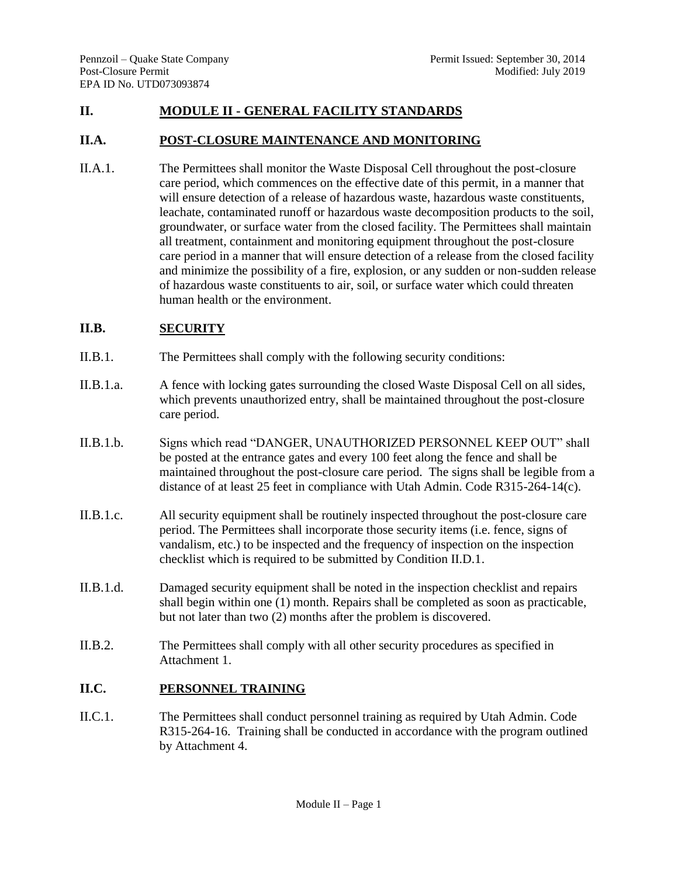## **II. MODULE II - GENERAL FACILITY STANDARDS**

#### **II.A. POST-CLOSURE MAINTENANCE AND MONITORING**

II.A.1. The Permittees shall monitor the Waste Disposal Cell throughout the post-closure care period, which commences on the effective date of this permit, in a manner that will ensure detection of a release of hazardous waste, hazardous waste constituents, leachate, contaminated runoff or hazardous waste decomposition products to the soil, groundwater, or surface water from the closed facility. The Permittees shall maintain all treatment, containment and monitoring equipment throughout the post-closure care period in a manner that will ensure detection of a release from the closed facility and minimize the possibility of a fire, explosion, or any sudden or non-sudden release of hazardous waste constituents to air, soil, or surface water which could threaten human health or the environment.

# **II.B. SECURITY**

- II.B.1. The Permittees shall comply with the following security conditions:
- II.B.1.a. A fence with locking gates surrounding the closed Waste Disposal Cell on all sides, which prevents unauthorized entry, shall be maintained throughout the post-closure care period.
- II.B.1.b. Signs which read "DANGER, UNAUTHORIZED PERSONNEL KEEP OUT" shall be posted at the entrance gates and every 100 feet along the fence and shall be maintained throughout the post-closure care period. The signs shall be legible from a distance of at least 25 feet in compliance with Utah Admin. Code R315-264-14(c).
- II.B.1.c. All security equipment shall be routinely inspected throughout the post-closure care period. The Permittees shall incorporate those security items (i.e. fence, signs of vandalism, etc.) to be inspected and the frequency of inspection on the inspection checklist which is required to be submitted by Condition II.D.1.
- II.B.1.d. Damaged security equipment shall be noted in the inspection checklist and repairs shall begin within one (1) month. Repairs shall be completed as soon as practicable, but not later than two (2) months after the problem is discovered.
- II.B.2. The Permittees shall comply with all other security procedures as specified in Attachment 1.

# **II.C. PERSONNEL TRAINING**

II.C.1. The Permittees shall conduct personnel training as required by Utah Admin. Code R315-264-16. Training shall be conducted in accordance with the program outlined by Attachment 4.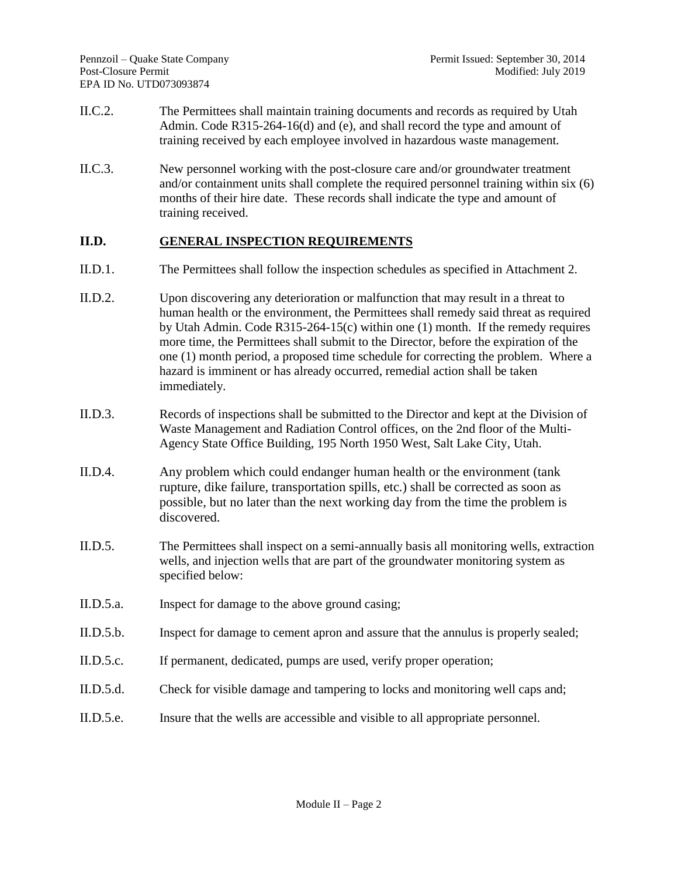- II.C.2. The Permittees shall maintain training documents and records as required by Utah Admin. Code R315-264-16(d) and (e), and shall record the type and amount of training received by each employee involved in hazardous waste management.
- II.C.3. New personnel working with the post-closure care and/or groundwater treatment and/or containment units shall complete the required personnel training within six (6) months of their hire date. These records shall indicate the type and amount of training received.

# **II.D. GENERAL INSPECTION REQUIREMENTS**

- II.D.1. The Permittees shall follow the inspection schedules as specified in Attachment 2.
- II.D.2. Upon discovering any deterioration or malfunction that may result in a threat to human health or the environment, the Permittees shall remedy said threat as required by Utah Admin. Code R315-264-15(c) within one (1) month. If the remedy requires more time, the Permittees shall submit to the Director, before the expiration of the one (1) month period, a proposed time schedule for correcting the problem. Where a hazard is imminent or has already occurred, remedial action shall be taken immediately.
- II.D.3. Records of inspections shall be submitted to the Director and kept at the Division of Waste Management and Radiation Control offices, on the 2nd floor of the Multi-Agency State Office Building, 195 North 1950 West, Salt Lake City, Utah.
- II.D.4. Any problem which could endanger human health or the environment (tank rupture, dike failure, transportation spills, etc.) shall be corrected as soon as possible, but no later than the next working day from the time the problem is discovered.
- II.D.5. The Permittees shall inspect on a semi-annually basis all monitoring wells, extraction wells, and injection wells that are part of the groundwater monitoring system as specified below:
- II.D.5.a. Inspect for damage to the above ground casing;
- II.D.5.b. Inspect for damage to cement apron and assure that the annulus is properly sealed;
- II.D.5.c. If permanent, dedicated, pumps are used, verify proper operation;
- II.D.5.d. Check for visible damage and tampering to locks and monitoring well caps and;
- II.D.5.e. Insure that the wells are accessible and visible to all appropriate personnel.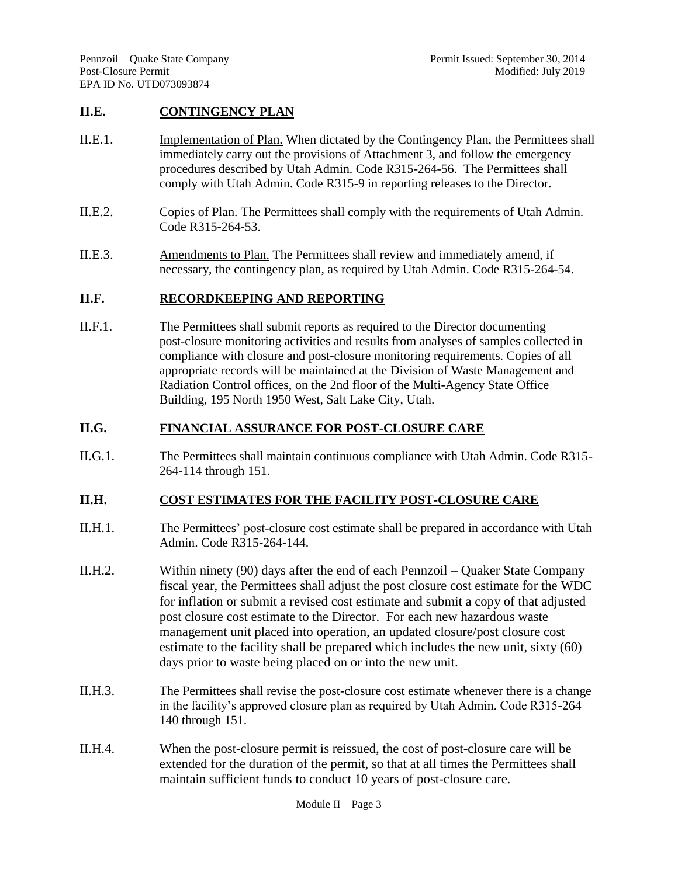#### **II.E. CONTINGENCY PLAN**

- II.E.1. Implementation of Plan. When dictated by the Contingency Plan, the Permittees shall immediately carry out the provisions of Attachment 3, and follow the emergency procedures described by Utah Admin. Code R315-264-56. The Permittees shall comply with Utah Admin. Code R315-9 in reporting releases to the Director.
- II.E.2. Copies of Plan. The Permittees shall comply with the requirements of Utah Admin. Code R315-264-53.
- II.E.3. Amendments to Plan. The Permittees shall review and immediately amend, if necessary, the contingency plan, as required by Utah Admin. Code R315-264-54.

### **II.F. RECORDKEEPING AND REPORTING**

II.F.1. The Permittees shall submit reports as required to the Director documenting post-closure monitoring activities and results from analyses of samples collected in compliance with closure and post-closure monitoring requirements. Copies of all appropriate records will be maintained at the Division of Waste Management and Radiation Control offices, on the 2nd floor of the Multi-Agency State Office Building, 195 North 1950 West, Salt Lake City, Utah.

### **II.G. FINANCIAL ASSURANCE FOR POST-CLOSURE CARE**

II.G.1. The Permittees shall maintain continuous compliance with Utah Admin. Code R315- 264-114 through 151.

### **II.H. COST ESTIMATES FOR THE FACILITY POST-CLOSURE CARE**

- II.H.1. The Permittees' post-closure cost estimate shall be prepared in accordance with Utah Admin. Code R315-264-144.
- II.H.2. Within ninety (90) days after the end of each Pennzoil Quaker State Company fiscal year, the Permittees shall adjust the post closure cost estimate for the WDC for inflation or submit a revised cost estimate and submit a copy of that adjusted post closure cost estimate to the Director. For each new hazardous waste management unit placed into operation, an updated closure/post closure cost estimate to the facility shall be prepared which includes the new unit, sixty (60) days prior to waste being placed on or into the new unit.
- II.H.3. The Permittees shall revise the post-closure cost estimate whenever there is a change in the facility's approved closure plan as required by Utah Admin. Code R315-264 140 through 151.
- II.H.4. When the post-closure permit is reissued, the cost of post-closure care will be extended for the duration of the permit, so that at all times the Permittees shall maintain sufficient funds to conduct 10 years of post-closure care.